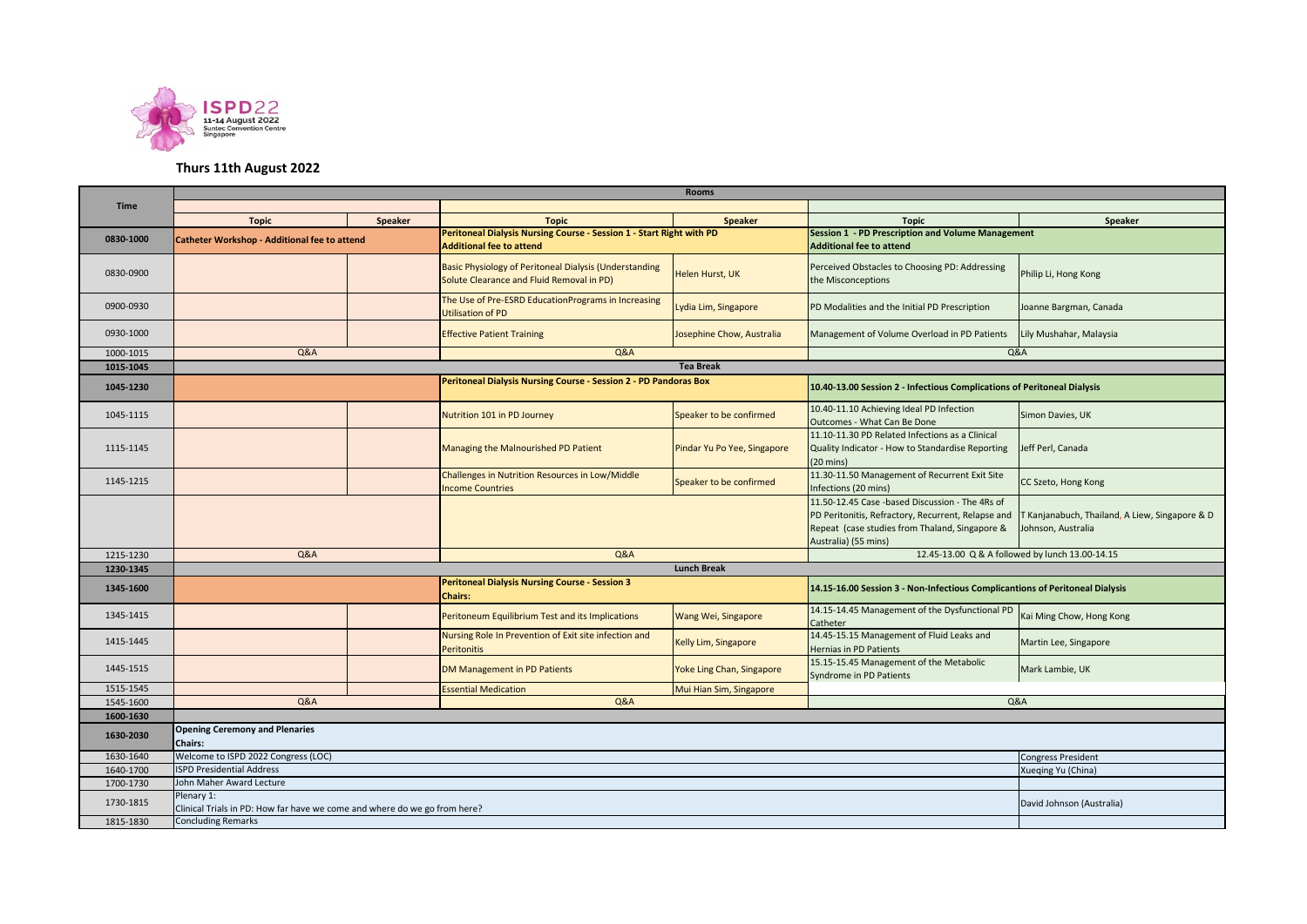

## **Thurs 11th August 2022**

|             | <b>Rooms</b>                                                                                                         |  |                                                                                                     |                             |                                                                                                                                                                                 |                                                                      |  |  |  |
|-------------|----------------------------------------------------------------------------------------------------------------------|--|-----------------------------------------------------------------------------------------------------|-----------------------------|---------------------------------------------------------------------------------------------------------------------------------------------------------------------------------|----------------------------------------------------------------------|--|--|--|
| <b>Time</b> |                                                                                                                      |  |                                                                                                     |                             |                                                                                                                                                                                 |                                                                      |  |  |  |
|             | <b>Topic</b><br><b>Speaker</b>                                                                                       |  | <b>Topic</b>                                                                                        | <b>Speaker</b>              | <b>Topic</b>                                                                                                                                                                    | Speaker                                                              |  |  |  |
| 0830-1000   | Catheter Workshop - Additional fee to attend                                                                         |  | Peritoneal Dialysis Nursing Course - Session 1 - Start Right with PD                                |                             | <b>Session 1 - PD Prescription and Volume Management</b>                                                                                                                        |                                                                      |  |  |  |
|             |                                                                                                                      |  | <b>Additional fee to attend</b>                                                                     |                             | <b>Additional fee to attend</b>                                                                                                                                                 |                                                                      |  |  |  |
| 0830-0900   |                                                                                                                      |  | Basic Physiology of Peritoneal Dialysis (Understanding<br>Solute Clearance and Fluid Removal in PD) | Helen Hurst, UK             | Perceived Obstacles to Choosing PD: Addressing<br>the Misconceptions                                                                                                            | Philip Li, Hong Kong                                                 |  |  |  |
| 0900-0930   |                                                                                                                      |  | The Use of Pre-ESRD EducationPrograms in Increasing<br><b>Utilisation of PD</b>                     | Lydia Lim, Singapore        | PD Modalities and the Initial PD Prescription                                                                                                                                   | Joanne Bargman, Canada                                               |  |  |  |
| 0930-1000   |                                                                                                                      |  | Josephine Chow, Australia<br><b>Effective Patient Training</b>                                      |                             | Management of Volume Overload in PD Patients                                                                                                                                    | Lily Mushahar, Malaysia                                              |  |  |  |
| 1000-1015   | Q&A                                                                                                                  |  | Q&A                                                                                                 |                             | Q&A                                                                                                                                                                             |                                                                      |  |  |  |
| 1015-1045   |                                                                                                                      |  |                                                                                                     | <b>Tea Break</b>            |                                                                                                                                                                                 |                                                                      |  |  |  |
| 1045-1230   |                                                                                                                      |  | Peritoneal Dialysis Nursing Course - Session 2 - PD Pandoras Box                                    |                             | 10.40-13.00 Session 2 - Infectious Complications of Peritoneal Dialysis                                                                                                         |                                                                      |  |  |  |
| 1045-1115   |                                                                                                                      |  | Nutrition 101 in PD Journey                                                                         | Speaker to be confirmed     | 10.40-11.10 Achieving Ideal PD Infection<br>Outcomes - What Can Be Done                                                                                                         | Simon Davies, UK                                                     |  |  |  |
| 1115-1145   |                                                                                                                      |  | Managing the Malnourished PD Patient                                                                | Pindar Yu Po Yee, Singapore | 11.10-11.30 PD Related Infections as a Clinical<br>Quality Indicator - How to Standardise Reporting<br>$(20 \text{ mins})$                                                      | Jeff Perl, Canada                                                    |  |  |  |
| 1145-1215   |                                                                                                                      |  | Challenges in Nutrition Resources in Low/Middle<br><b>Income Countries</b>                          | Speaker to be confirmed     | 11.30-11.50 Management of Recurrent Exit Site<br>Infections (20 mins)                                                                                                           | CC Szeto, Hong Kong                                                  |  |  |  |
|             |                                                                                                                      |  |                                                                                                     |                             | 11.50-12.45 Case -based Discussion - The 4Rs of<br>PD Peritonitis, Refractory, Recurrent, Relapse and<br>Repeat (case studies from Thaland, Singapore &<br>Australia) (55 mins) | F Kanjanabuch, Thailand, A Liew, Singapore & D<br>Johnson, Australia |  |  |  |
| 1215-1230   | <b>Q&amp;A</b>                                                                                                       |  | <b>Q&amp;A</b>                                                                                      |                             |                                                                                                                                                                                 | 12.45-13.00 Q & A followed by lunch 13.00-14.15                      |  |  |  |
| 1230-1345   | <b>Lunch Break</b>                                                                                                   |  |                                                                                                     |                             |                                                                                                                                                                                 |                                                                      |  |  |  |
| 1345-1600   |                                                                                                                      |  | <b>Peritoneal Dialysis Nursing Course - Session 3</b><br><b>Chairs:</b>                             |                             | 14.15-16.00 Session 3 - Non-Infectious Complicantions of Peritoneal Dialysis                                                                                                    |                                                                      |  |  |  |
| 1345-1415   |                                                                                                                      |  | Peritoneum Equilibrium Test and its Implications                                                    | Wang Wei, Singapore         | 14.15-14.45 Management of the Dysfunctional PD<br>Catheter                                                                                                                      | Kai Ming Chow, Hong Kong                                             |  |  |  |
| 1415-1445   |                                                                                                                      |  | Nursing Role In Prevention of Exit site infection and<br><b>Peritonitis</b>                         | Kelly Lim, Singapore        | 14.45-15.15 Management of Fluid Leaks and<br>Hernias in PD Patients                                                                                                             | Martin Lee, Singapore                                                |  |  |  |
| 1445-1515   |                                                                                                                      |  | DM Management in PD Patients                                                                        | Yoke Ling Chan, Singapore   | 15.15-15.45 Management of the Metabolic<br>Syndrome in PD Patients                                                                                                              | Mark Lambie, UK                                                      |  |  |  |
| 1515-1545   |                                                                                                                      |  | <b>Essential Medication</b>                                                                         | Mui Hian Sim, Singapore     |                                                                                                                                                                                 |                                                                      |  |  |  |
| 1545-1600   | <b>Q&amp;A</b>                                                                                                       |  | Q&A                                                                                                 |                             | <b>Q&amp;A</b>                                                                                                                                                                  |                                                                      |  |  |  |
| 1600-1630   |                                                                                                                      |  |                                                                                                     |                             |                                                                                                                                                                                 |                                                                      |  |  |  |
| 1630-2030   | <b>Opening Ceremony and Plenaries</b><br>Chairs:                                                                     |  |                                                                                                     |                             |                                                                                                                                                                                 |                                                                      |  |  |  |
| 1630-1640   | Welcome to ISPD 2022 Congress (LOC)<br><b>Congress President</b>                                                     |  |                                                                                                     |                             |                                                                                                                                                                                 |                                                                      |  |  |  |
| 1640-1700   | <b>ISPD Presidential Address</b><br>Xueqing Yu (China)                                                               |  |                                                                                                     |                             |                                                                                                                                                                                 |                                                                      |  |  |  |
| 1700-1730   | John Maher Award Lecture                                                                                             |  |                                                                                                     |                             |                                                                                                                                                                                 |                                                                      |  |  |  |
| 1730-1815   | Plenary 1:<br>David Johnson (Australia)<br>Clinical Trials in PD: How far have we come and where do we go from here? |  |                                                                                                     |                             |                                                                                                                                                                                 |                                                                      |  |  |  |
| 1815-1830   | <b>Concluding Remarks</b>                                                                                            |  |                                                                                                     |                             |                                                                                                                                                                                 |                                                                      |  |  |  |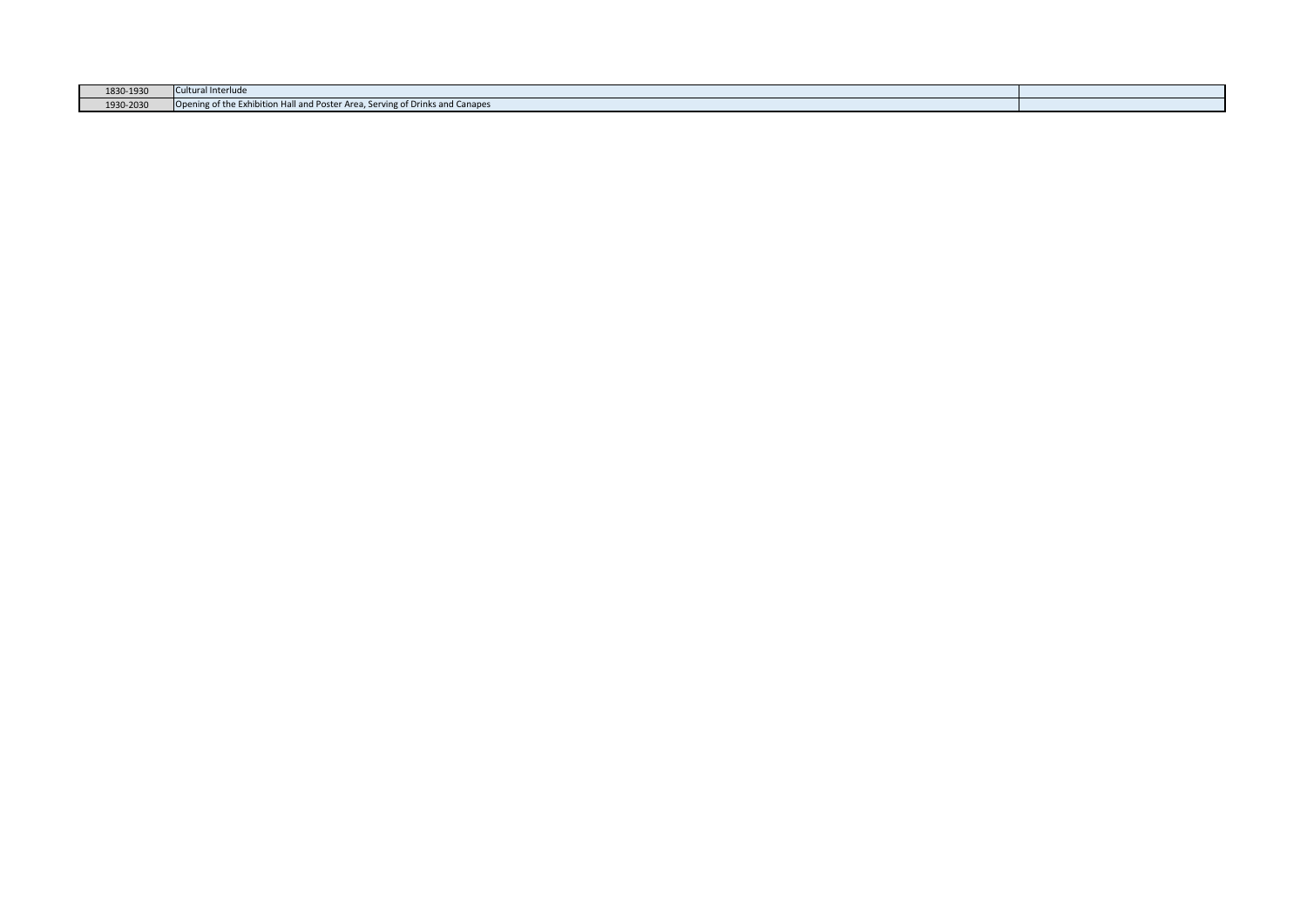| 1830-1930 | Cultural Interlude                                                                           |  |
|-----------|----------------------------------------------------------------------------------------------|--|
| 1930-2030 | uning of the Exhibition Hall and Poster Area, Serving of Dr<br>$ $ Ope<br>Drinks and Canapes |  |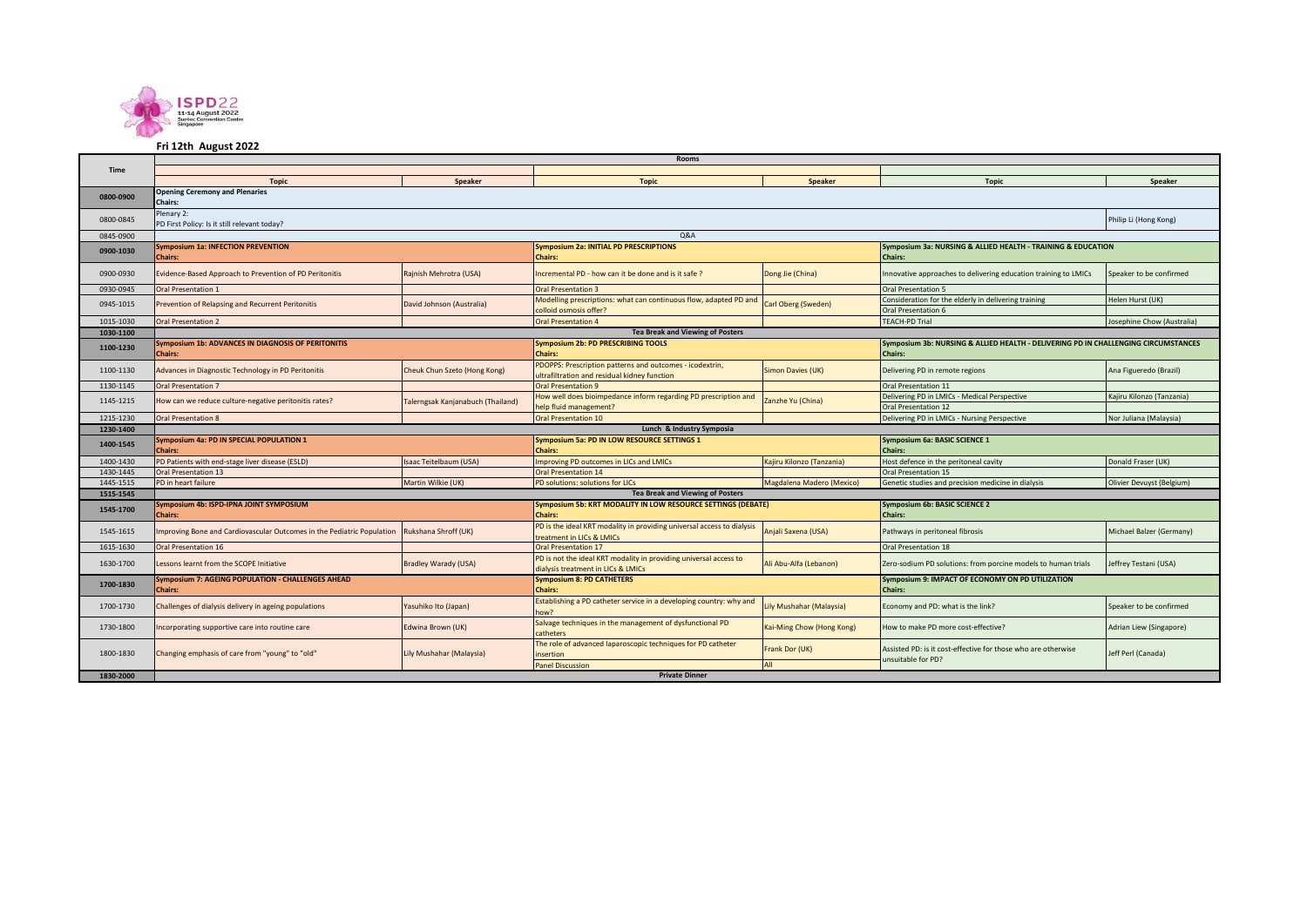

## **Fri 12th August 2022**

|             | <b>Rooms</b>                                                                               |                              |                                                                                                                |                           |                                                                                                      |                            |  |  |  |  |
|-------------|--------------------------------------------------------------------------------------------|------------------------------|----------------------------------------------------------------------------------------------------------------|---------------------------|------------------------------------------------------------------------------------------------------|----------------------------|--|--|--|--|
| <b>Time</b> |                                                                                            |                              |                                                                                                                |                           |                                                                                                      |                            |  |  |  |  |
|             | <b>Topic</b>                                                                               | Speaker                      | <b>Topic</b>                                                                                                   | <b>Speaker</b>            | <b>Topic</b>                                                                                         | Speaker                    |  |  |  |  |
| 0800-0900   | <b>Opening Ceremony and Plenaries</b><br><b>Chairs:</b>                                    |                              |                                                                                                                |                           |                                                                                                      |                            |  |  |  |  |
| 0800-0845   | Plenary 2:<br>PD First Policy: Is it still relevant today?                                 |                              |                                                                                                                |                           |                                                                                                      | Philip Li (Hong Kong)      |  |  |  |  |
| 0845-0900   | Q&A                                                                                        |                              |                                                                                                                |                           |                                                                                                      |                            |  |  |  |  |
| 0900-1030   | <b>Symposium 1a: INFECTION PREVENTION</b><br><b>Chairs:</b>                                |                              | <b>Symposium 2a: INITIAL PD PRESCRIPTIONS</b><br><b>Chairs:</b>                                                |                           | Symposium 3a: NURSING & ALLIED HEALTH - TRAINING & EDUCATION<br><b>Chairs:</b>                       |                            |  |  |  |  |
| 0900-0930   | Evidence-Based Approach to Prevention of PD Peritonitis                                    | Rajnish Mehrotra (USA)       | Incremental PD - how can it be done and is it safe?                                                            | Dong Jie (China)          | Innovative approaches to delivering education training to LMICs                                      | Speaker to be confirmed    |  |  |  |  |
| 0930-0945   | Oral Presentation 1                                                                        |                              | <b>Oral Presentation 3</b>                                                                                     |                           | Oral Presentation 5                                                                                  |                            |  |  |  |  |
| 0945-1015   | Prevention of Relapsing and Recurrent Peritonitis                                          | David Johnson (Australia)    | Modelling prescriptions: what can continuous flow, adapted PD and<br>colloid osmosis offer?                    | Carl Oberg (Sweden)       | Consideration for the elderly in delivering training<br>Oral Presentation 6                          | Helen Hurst (UK)           |  |  |  |  |
| 1015-1030   | <b>Oral Presentation 2</b>                                                                 |                              | <b>Oral Presentation 4</b>                                                                                     |                           | <b>TEACH-PD Trial</b>                                                                                | Josephine Chow (Australia) |  |  |  |  |
| 1030-1100   |                                                                                            |                              | <b>Tea Break and Viewing of Posters</b>                                                                        |                           |                                                                                                      |                            |  |  |  |  |
| 1100-1230   | <b>Symposium 1b: ADVANCES IN DIAGNOSIS OF PERITONITIS</b><br><b>Chairs:</b>                |                              | <b>Symposium 2b: PD PRESCRIBING TOOLS</b><br><b>Chairs:</b>                                                    |                           | Symposium 3b: NURSING & ALLIED HEALTH - DELIVERING PD IN CHALLENGING CIRCUMSTANCES<br><b>Chairs:</b> |                            |  |  |  |  |
| 1100-1130   | Advances in Diagnostic Technology in PD Peritonitis                                        | Cheuk Chun Szeto (Hong Kong) | PDOPPS: Prescription patterns and outcomes - icodextrin,<br>ultrafiltration and residual kidney function       | Simon Davies (UK)         | Delivering PD in remote regions                                                                      | Ana Figueredo (Brazil)     |  |  |  |  |
| 1130-1145   | <b>Oral Presentation 7</b>                                                                 |                              | <b>Oral Presentation 9</b>                                                                                     |                           | Oral Presentation 11                                                                                 |                            |  |  |  |  |
| 1145-1215   | How can we reduce culture-negative peritonitis rates?<br>Talerngsak Kanjanabuch (Thailand) |                              | How well does bioimpedance inform regarding PD prescription and<br>Zanzhe Yu (China)<br>help fluid management? |                           | Delivering PD in LMICs - Medical Perspective<br><b>Oral Presentation 12</b>                          | Kajiru Kilonzo (Tanzania)  |  |  |  |  |
| 1215-1230   | <b>Oral Presentation 8</b>                                                                 |                              | <b>Oral Presentation 10</b>                                                                                    |                           | Delivering PD in LMICs - Nursing Perspective                                                         | Nor Juliana (Malaysia)     |  |  |  |  |
| 1230-1400   | Lunch & Industry Symposia                                                                  |                              |                                                                                                                |                           |                                                                                                      |                            |  |  |  |  |
| 1400-1545   | Symposium 4a: PD IN SPECIAL POPULATION 1<br><b>Chairs:</b>                                 |                              | Symposium 5a: PD IN LOW RESOURCE SETTINGS 1<br><b>Chairs:</b>                                                  |                           | Symposium 6a: BASIC SCIENCE 1<br><b>Chairs:</b>                                                      |                            |  |  |  |  |
| 1400-1430   | PD Patients with end-stage liver disease (ESLD)                                            | Isaac Teitelbaum (USA)       | Improving PD outcomes in LICs and LMICs                                                                        | Kajiru Kilonzo (Tanzania) | Host defence in the peritoneal cavity                                                                | Donald Fraser (UK)         |  |  |  |  |
| 1430-1445   | <b>Oral Presentation 13</b>                                                                |                              | <b>Oral Presentation 14</b>                                                                                    |                           | <b>Oral Presentation 15</b>                                                                          |                            |  |  |  |  |
| 1445-1515   | PD in heart failure                                                                        | Martin Wilkie (UK)           | PD solutions: solutions for LICs                                                                               | Magdalena Madero (Mexico) | Genetic studies and precision medicine in dialysis                                                   | Olivier Devuyst (Belgium)  |  |  |  |  |
| 1515-1545   |                                                                                            |                              | <b>Tea Break and Viewing of Posters</b>                                                                        |                           |                                                                                                      |                            |  |  |  |  |
| 1545-1700   | Symposium 4b: ISPD-IPNA JOINT SYMPOSIUM<br><b>Chairs:</b>                                  |                              | Symposium 5b: KRT MODALITY IN LOW RESOURCE SETTINGS (DEBATE)<br><b>Chairs:</b>                                 |                           | <b>Symposium 6b: BASIC SCIENCE 2</b><br><b>Chairs:</b>                                               |                            |  |  |  |  |
| 1545-1615   | Improving Bone and Cardiovascular Outcomes in the Pediatric Population                     | Rukshana Shroff (UK)         | PD is the ideal KRT modality in providing universal access to dialysis<br>treatment in LICs & LMICs            | Anjali Saxena (USA)       | Pathways in peritoneal fibrosis                                                                      | Michael Balzer (Germany)   |  |  |  |  |
| 1615-1630   | <b>Oral Presentation 16</b>                                                                |                              | <b>Oral Presentation 17</b>                                                                                    |                           | <b>Oral Presentation 18</b>                                                                          |                            |  |  |  |  |
| 1630-1700   | essons learnt from the SCOPE Initiative                                                    | <b>Bradley Warady (USA)</b>  | PD is not the ideal KRT modality in providing universal access to<br>dialysis treatment in LICs & LMICs        | Ali Abu-Alfa (Lebanon)    | Zero-sodium PD solutions: from porcine models to human trials                                        | Jeffrey Testani (USA)      |  |  |  |  |
| 1700-1830   | <b>Symposium 7: AGEING POPULATION - CHALLENGES AHEAD</b><br><b>Chairs:</b>                 |                              | <b>Symposium 8: PD CATHETERS</b><br><b>Chairs:</b>                                                             |                           | Symposium 9: IMPACT OF ECONOMY ON PD UTILIZATION<br><b>Chairs:</b>                                   |                            |  |  |  |  |
| 1700-1730   | Challenges of dialysis delivery in ageing populations                                      | Yasuhiko Ito (Japan)         | Establishing a PD catheter service in a developing country: why and<br>now?                                    | Lily Mushahar (Malaysia)  | Economy and PD: what is the link?                                                                    | Speaker to be confirmed    |  |  |  |  |
| 1730-1800   | Edwina Brown (UK)<br>ncorporating supportive care into routine care                        |                              | Salvage techniques in the management of dysfunctional PD<br>Kai-Ming Chow (Hong Kong)<br>catheters             |                           | How to make PD more cost-effective?                                                                  | Adrian Liew (Singapore)    |  |  |  |  |
| 1800-1830   | Changing emphasis of care from "young" to "old"                                            | Lily Mushahar (Malaysia)     | The role of advanced laparoscopic techniques for PD catheter<br>insertion                                      | Frank Dor (UK)<br>All     | Assisted PD: is it cost-effective for those who are otherwise<br>unsuitable for PD?                  | Jeff Perl (Canada)         |  |  |  |  |
|             | <b>Panel Discussion</b><br><b>Private Dinner</b>                                           |                              |                                                                                                                |                           |                                                                                                      |                            |  |  |  |  |
| 1830-2000   |                                                                                            |                              |                                                                                                                |                           |                                                                                                      |                            |  |  |  |  |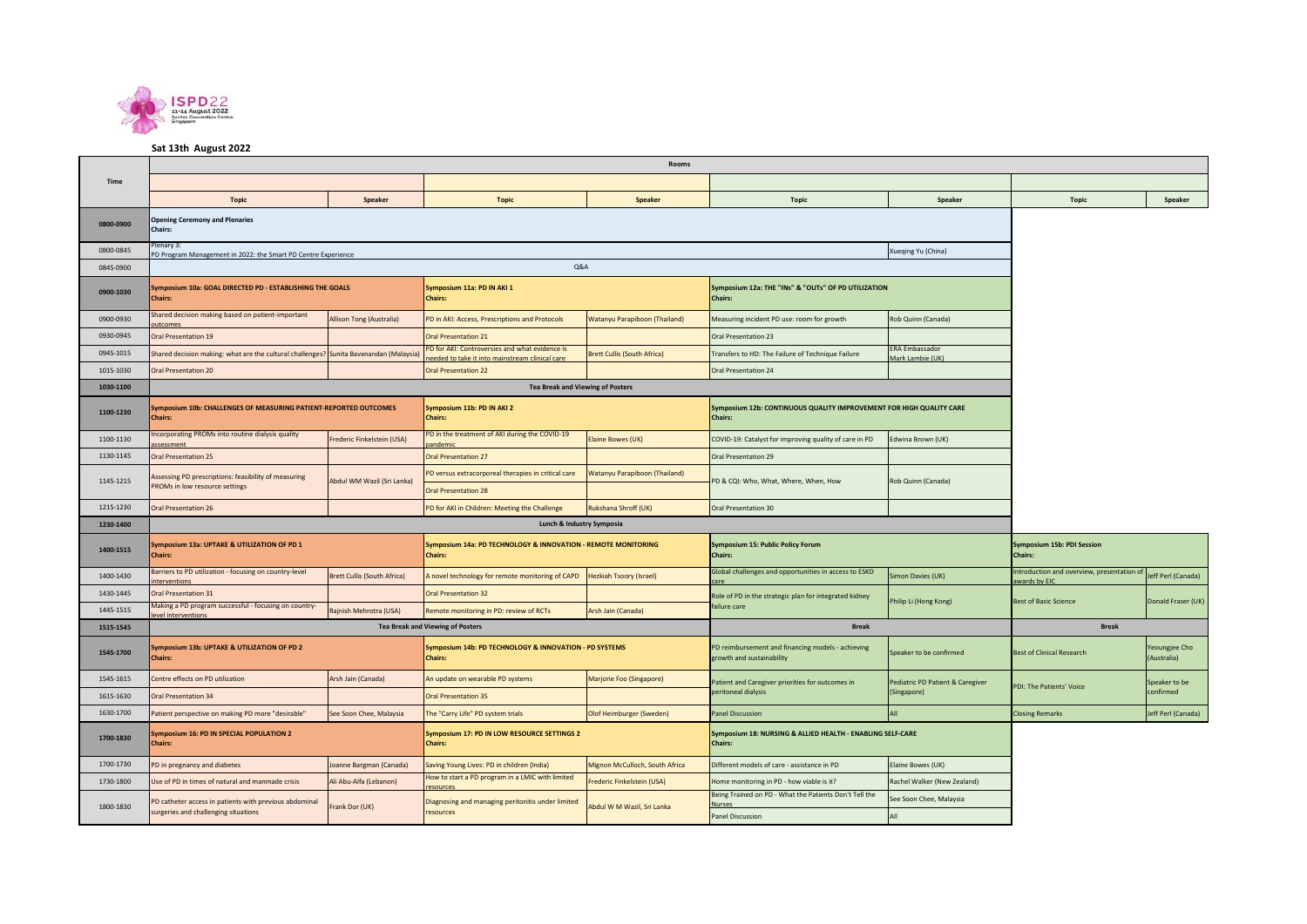

## **Sat 13th August 2022**

|           | Rooms                                                                                          |                             |                                                                                                            |                                    |                                                                                         |                                  |                                                           |                              |  |
|-----------|------------------------------------------------------------------------------------------------|-----------------------------|------------------------------------------------------------------------------------------------------------|------------------------------------|-----------------------------------------------------------------------------------------|----------------------------------|-----------------------------------------------------------|------------------------------|--|
| Time      |                                                                                                |                             |                                                                                                            |                                    |                                                                                         |                                  |                                                           |                              |  |
|           | <b>Topic</b>                                                                                   | Speaker                     | <b>Topic</b>                                                                                               | Speaker                            | <b>Topic</b>                                                                            | Speaker                          | <b>Topic</b>                                              | Speaker                      |  |
| 0800-0900 | <b>Opening Ceremony and Plenaries</b><br>Chairs:                                               |                             |                                                                                                            |                                    |                                                                                         |                                  |                                                           |                              |  |
| 0800-0845 | Plenary 3:<br>PD Program Management in 2022: the Smart PD Centre Experience                    |                             |                                                                                                            |                                    |                                                                                         |                                  |                                                           |                              |  |
| 0845-0900 |                                                                                                |                             | Q&A                                                                                                        |                                    |                                                                                         |                                  |                                                           |                              |  |
| 0900-1030 | Symposium 10a: GOAL DIRECTED PD - ESTABLISHING THE GOALS<br><b>Chairs:</b>                     |                             | Symposium 11a: PD IN AKI 1<br><b>Chairs:</b>                                                               |                                    | Symposium 12a: THE "INs" & "OUTs" OF PD UTILIZATION<br>Chairs:                          |                                  |                                                           |                              |  |
| 0900-0930 | Shared decision making based on patient-important<br>utcomes                                   | Allison Tong (Australia)    | PD in AKI: Access, Prescriptions and Protocols                                                             | Watanyu Parapiboon (Thailand)      | Measuring incident PD use: room for growth                                              | Rob Quinn (Canada)               |                                                           |                              |  |
| 0930-0945 | Oral Presentation 19                                                                           |                             | Oral Presentation 21                                                                                       |                                    | <b>Oral Presentation 23</b>                                                             |                                  |                                                           |                              |  |
| 0945-1015 | Shared decision making: what are the cultural challenges                                       | Sunita Bavanandan (Malaysia | <sup>9</sup> D for AKI: Controversies and what evidence is<br>ded to take it into mainstream clinical care | <b>Brett Cullis (South Africa)</b> | ERA Embassador<br>Transfers to HD: The Failure of Technique Failure<br>Mark Lambie (UK) |                                  |                                                           |                              |  |
| 1015-1030 | <b>Oral Presentation 20</b>                                                                    |                             | <b>Oral Presentation 22</b>                                                                                |                                    | Oral Presentation 24                                                                    |                                  |                                                           |                              |  |
| 1030-1100 |                                                                                                |                             | <b>Tea Break and Viewing of Posters</b>                                                                    |                                    |                                                                                         |                                  |                                                           |                              |  |
| 1100-1230 | Symposium 10b: CHALLENGES OF MEASURING PATIENT-REPORTED OUTCOMES<br><b>Chairs:</b>             |                             | Symposium 11b: PD IN AKI 2<br><b>Chairs:</b>                                                               |                                    | Symposium 12b: CONTINUOUS QUALITY IMPROVEMENT FOR HIGH QUALITY CARE<br>Chairs:          |                                  |                                                           |                              |  |
| 1100-1130 | ncorporating PROMs into routine dialysis quality<br>ssessment                                  | rederic Finkelstein (USA)   | D in the treatment of AKI during the COVID-19<br>andemic                                                   | Elaine Bowes (UK)                  | COVID-19: Catalyst for improving quality of care in PD                                  | Edwina Brown (UK)                |                                                           |                              |  |
| 1130-1145 | <b>Oral Presentation 25</b>                                                                    |                             | <b>Oral Presentation 27</b>                                                                                |                                    | Oral Presentation 29                                                                    |                                  |                                                           |                              |  |
| 1145-1215 | Assessing PD prescriptions: feasibility of measuring                                           | Abdul WM Wazil (Sri Lanka)  | PD versus extracorporeal therapies in critical care<br>Watanyu Parapiboon (Thailand)                       |                                    | PD & CQI: Who, What, Where, When, How                                                   | Rob Quinn (Canada)               |                                                           |                              |  |
|           | PROMs in low resource settings                                                                 |                             | <b>Oral Presentation 28</b>                                                                                |                                    |                                                                                         |                                  |                                                           |                              |  |
| 1215-1230 | <b>Oral Presentation 26</b>                                                                    |                             | PD for AKI in Children: Meeting the Challenge                                                              | Rukshana Shroff (UK)               | Oral Presentation 30                                                                    |                                  |                                                           |                              |  |
| 1230-1400 |                                                                                                |                             | Lunch & Industry Symposia                                                                                  |                                    |                                                                                         |                                  |                                                           |                              |  |
| 1400-1515 | Symposium 13a: UPTAKE & UTILIZATION OF PD 1<br><b>Chairs:</b>                                  |                             | Symposium 14a: PD TECHNOLOGY & INNOVATION - REMOTE MONITORING<br><b>Chairs:</b>                            |                                    | Symposium 15: Public Policy Forum<br><b>Chairs:</b>                                     |                                  | Symposium 15b: PDI Session<br><b>Chairs:</b>              |                              |  |
| 1400-1430 | Barriers to PD utilization - focusing on country-level<br>terventions                          | Brett Cullis (South Africa) | A novel technology for remote monitoring of CAPD                                                           | <b>Hezkiah Tsoory (Israel)</b>     | Global challenges and opportunities in access to ESKD                                   | Simon Davies (UK)                | ntroduction and overview, presentation of<br>wards by EIC | Jeff Perl (Canada)           |  |
| 1430-1445 | Oral Presentation 31                                                                           |                             | <b>Oral Presentation 32</b>                                                                                |                                    | Role of PD in the strategic plan for integrated kidney                                  | Philip Li (Hong Kong)            | <b>Best of Basic Science</b>                              | Donald Fraser (UK)           |  |
| 1445-1515 | Making a PD program successful - focusing on country-<br>vel intervention                      | Rajnish Mehrotra (USA)      | Remote monitoring in PD: review of RCTs                                                                    | Arsh Jain (Canada)                 | failure care                                                                            |                                  |                                                           |                              |  |
| 1515-1545 |                                                                                                |                             | <b>Tea Break and Viewing of Posters</b>                                                                    |                                    | <b>Break</b>                                                                            | <b>Break</b>                     |                                                           |                              |  |
| 1545-1700 | Symposium 13b: UPTAKE & UTILIZATION OF PD 2<br><b>Chairs:</b>                                  |                             | Symposium 14b: PD TECHNOLOGY & INNOVATION - PD SYSTEMS<br><b>Chairs:</b>                                   |                                    | PD reimbursement and financing models - achieving<br>growth and sustainability          | Speaker to be confirmed          | <b>Best of Clinical Research</b>                          | reoungjee Cho<br>(Australia) |  |
| 1545-1615 | Centre effects on PD utilization                                                               | Arsh Jain (Canada)          | An update on wearable PD systems                                                                           | Marjorie Foo (Singapore)           | Patient and Caregiver priorities for outcomes in                                        | Pediatric PD Patient & Caregiver |                                                           | Speaker to be                |  |
| 1615-1630 | <b>Oral Presentation 34</b>                                                                    |                             | <b>Oral Presentation 35</b>                                                                                |                                    | peritoneal dialysis                                                                     | (Singapore)                      | PDI: The Patients' Voice                                  | confirmed                    |  |
| 1630-1700 | Patient perspective on making PD more "desirable"                                              | See Soon Chee, Malaysia     | The "Carry Life" PD system trials                                                                          | Olof Heimburger (Sweden)           | <b>Panel Discussion</b>                                                                 | 11A                              | <b>Closing Remarks</b>                                    | Jeff Perl (Canada)           |  |
| 1700-1830 | Symposium 16: PD IN SPECIAL POPULATION 2<br><b>Chairs:</b>                                     |                             | Symposium 17: PD IN LOW RESOURCE SETTINGS 2<br><b>Chairs:</b>                                              |                                    | Symposium 18: NURSING & ALLIED HEALTH - ENABLING SELF-CARE<br><b>Chairs:</b>            |                                  |                                                           |                              |  |
| 1700-1730 | PD in pregnancy and diabetes                                                                   | ioanne Bargman (Canada)     | Saving Young Lives: PD in children (India)                                                                 | Mignon McCulloch, South Africa     | Different models of care - assistance in PD                                             | Elaine Bowes (UK)                |                                                           |                              |  |
| 1730-1800 | Use of PD in times of natural and manmade crisis                                               | Ali Abu-Alfa (Lebanon)      | How to start a PD program in a LMIC with limited<br>resources                                              | Frederic Finkelstein (USA)         | Home monitoring in PD - how viable is it?                                               | Rachel Walker (New Zealand)      |                                                           |                              |  |
| 1800-1830 | PD catheter access in patients with previous abdominal<br>surgeries and challenging situations | Frank Dor (UK)              | Diagnosing and managing peritonitis under limited<br>resources                                             | Abdul W M Wazil, Sri Lanka         | Being Trained on PD - What the Patients Don't Tell the<br>Nurses                        | See Soon Chee, Malaysia          |                                                           |                              |  |
|           |                                                                                                |                             |                                                                                                            |                                    | <b>Panel Discussion</b>                                                                 |                                  |                                                           |                              |  |